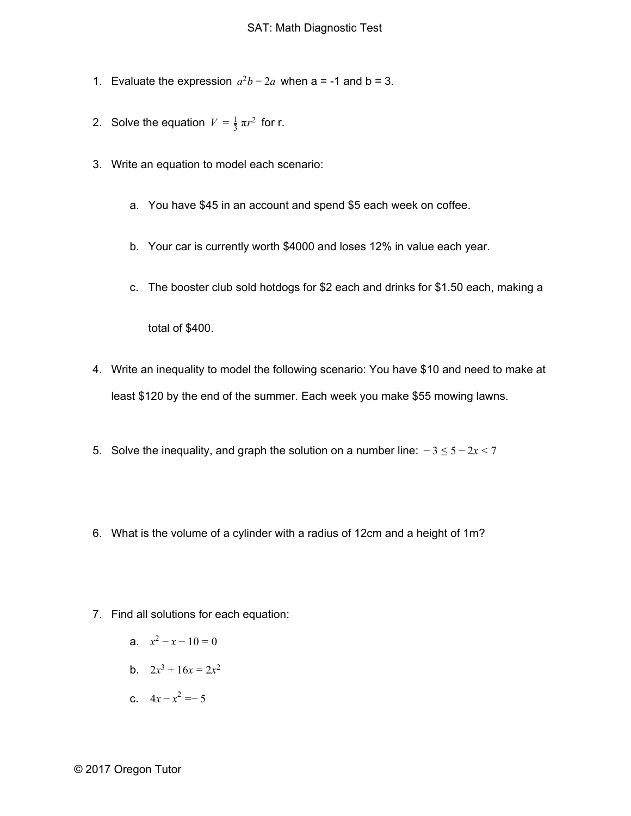- 1. Evaluate the expression  $a^2b 2a$  when a = -1 and b = 3.
- 2. Solve the equation  $V = \frac{1}{3} \pi r^2$  for r.
- 3. Write an equation to model each scenario:
	- a. You have \$45 in an account and spend \$5 each week on coffee.
	- b. Your car is currently worth \$4000 and loses 12% in value each year.
	- c. The booster club sold hotdogs for \$2 each and drinks for \$1.50 each, making a

total of \$400.

- 4. Write an inequality to model the following scenario: You have \$10 and need to make at least \$120 by the end of the summer. Each week you make \$55 mowing lawns.
- 5. Solve the inequality, and graph the solution on a number line: − 3 ≤ 5 − 2*x* < 7
- 6. What is the volume of a cylinder with a radius of 12cm and a height of 1m?
- 7. Find all solutions for each equation:
	- a.  $x^2 x 10 = 0$
	- b.  $2x^3 + 16x = 2x^2$
	- c.  $4x x^2 = -5$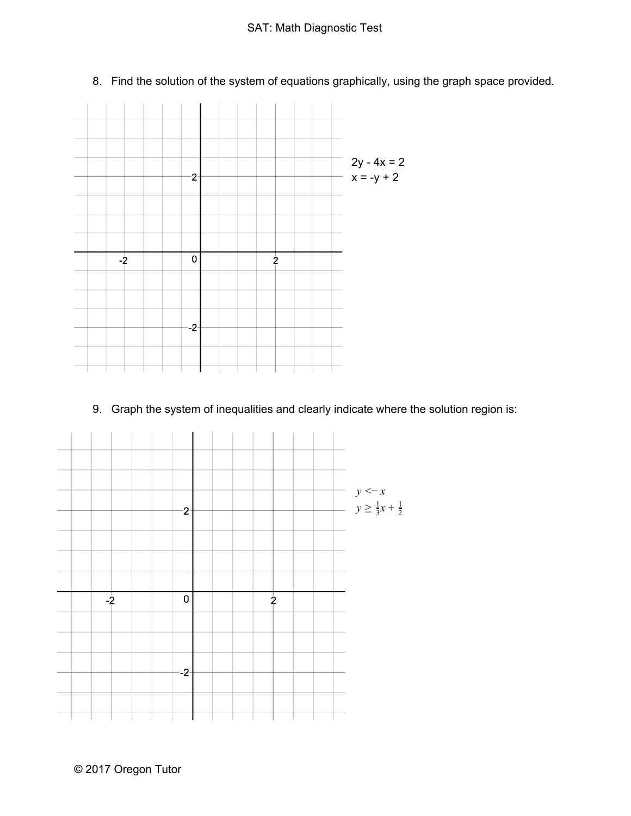

8. Find the solution of the system of equations graphically, using the graph space provided.

9. Graph the system of inequalities and clearly indicate where the solution region is:

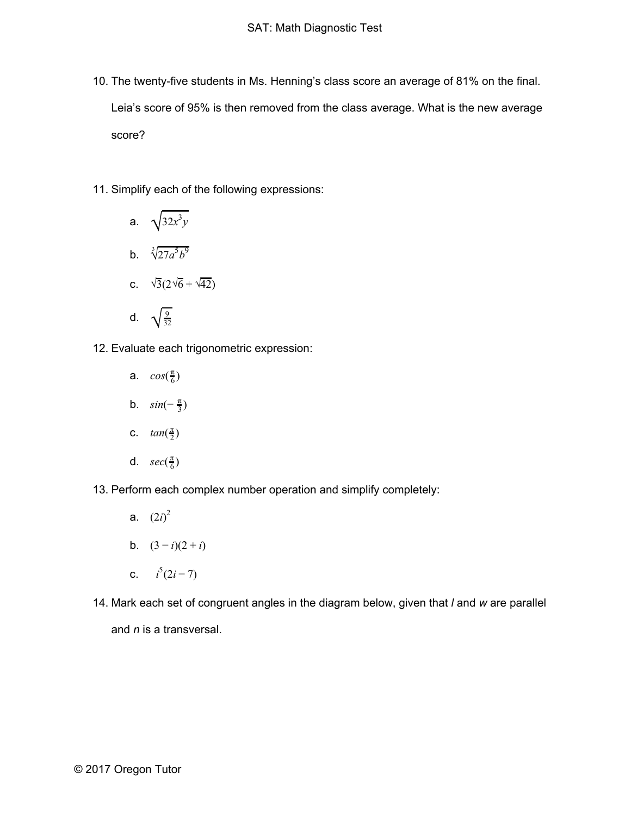- 10. The twenty-five students in Ms. Henning's class score an average of 81% on the final. Leia's score of 95% is then removed from the class average. What is the new average score?
- 11. Simplify each of the following expressions:

a. 
$$
\sqrt{32x^3y}
$$
  
\nb.  $\sqrt[3]{27a^5b^9}$   
\nc.  $\sqrt{3}(2\sqrt{6} + \sqrt{42})$   
\nd.  $\sqrt{\frac{9}{32}}$ 

- 12. Evaluate each trigonometric expression:
	- a.  $cos(\frac{\pi}{6})$ **b**.  $sin(-\frac{\pi}{3})$
	- c.  $tan(\frac{\pi}{2})$
	- d.  $sec(\frac{\pi}{6})$
- 13. Perform each complex number operation and simplify completely:
	- a.  $(2i)^2$
	- b.  $(3-i)(2+i)$
	- c.  $i^5(2i-7)$
- 14. Mark each set of congruent angles in the diagram below, given that *l* and *w* are parallel and *n* is a transversal.